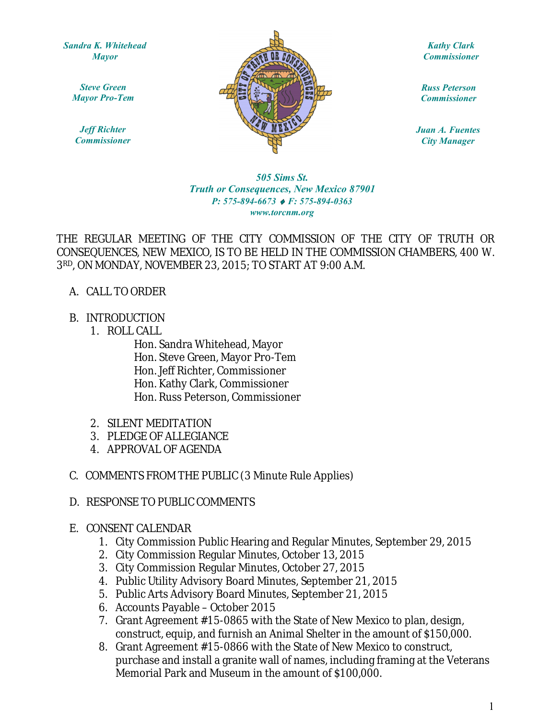*Sandra K. Whitehead Mayor*

*Steve Green Mayor Pro-Tem*

*Jeff Richter Commissioner*



*Kathy Clark Commissioner*

*Russ Peterson Commissioner*

*Juan A. Fuentes City Manager*

## www.torcnm.org *505 Sims St. Truth or Consequences, New Mexico 87901 P: 575-894-6673 F: 575-894-0363*

THE REGULAR MEETING OF THE CITY COMMISSION OF THE CITY OF TRUTH OR CONSEQUENCES, NEW MEXICO, IS TO BE HELD IN THE COMMISSION CHAMBERS, 400 W. 3RD, ON MONDAY, NOVEMBER 23, 2015; TO START AT 9:00 A.M.

- A. CALL TO ORDER
- B. INTRODUCTION
	- 1. ROLL CALL

Hon. Sandra Whitehead, Mayor Hon. Steve Green, Mayor Pro-Tem Hon. Jeff Richter, Commissioner Hon. Kathy Clark, Commissioner Hon. Russ Peterson, Commissioner

- 2. SILENT MEDITATION
- 3. PLEDGE OF ALLEGIANCE
- 4. APPROVAL OF AGENDA
- C. COMMENTS FROM THE PUBLIC (3 Minute Rule Applies)
- D. RESPONSE TO PUBLIC COMMENTS
- E. CONSENT CALENDAR
	- 1. City Commission Public Hearing and Regular Minutes, September 29, 2015
	- 2. City Commission Regular Minutes, October 13, 2015
	- 3. City Commission Regular Minutes, October 27, 2015
	- 4. Public Utility Advisory Board Minutes, September 21, 2015
	- 5. Public Arts Advisory Board Minutes, September 21, 2015
	- 6. Accounts Payable October 2015
	- 7. Grant Agreement #15-0865 with the State of New Mexico to plan, design, construct, equip, and furnish an Animal Shelter in the amount of \$150,000.
	- 8. Grant Agreement #15-0866 with the State of New Mexico to construct, purchase and install a granite wall of names, including framing at the Veterans Memorial Park and Museum in the amount of \$100,000.